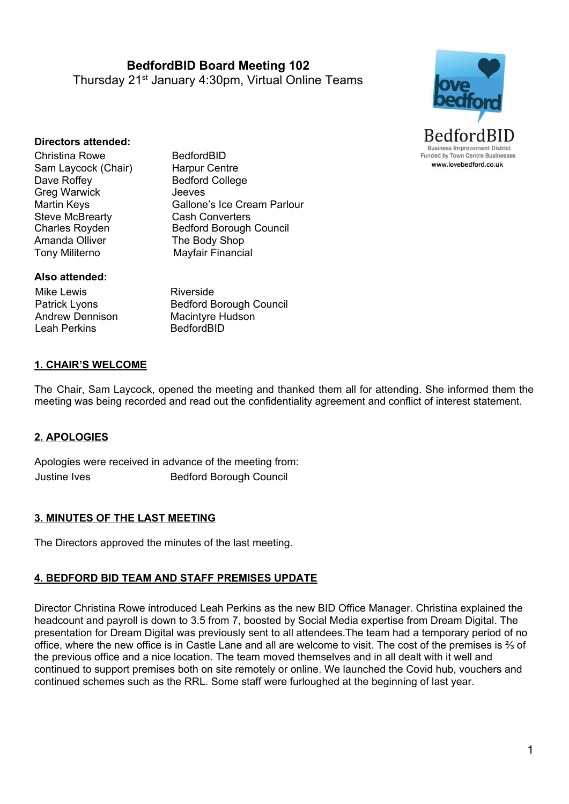**BedfordBID Board Meeting 102** Thursday 21<sup>st</sup> January 4:30pm, Virtual Online Teams



#### **Directors attended:**

Christina Rowe BedfordBID Sam Laycock (Chair) Harpur Centre Dave Roffey Bedford College Greg Warwick **Jeeves** Steve McBrearty **Cash Converters**<br>Charles Royden **Charles** Bedford Borough Amanda Olliver The Body Shop Tony Militerno Mayfair Financial

Martin Keys **Gallone's Ice Cream Parlour Bedford Borough Council** 

#### **Also attended:**

Mike Lewis Patrick Lyons Andrew Dennison Leah Perkins

Riverside Bedford Borough Council Macintyre Hudson BedfordBID

#### **1. CHAIR'S WELCOME**

The Chair, Sam Laycock, opened the meeting and thanked them all for attending. She informed them the meeting was being recorded and read out the confidentiality agreement and conflict of interest statement.

### **2. APOLOGIES**

Apologies were received in advance of the meeting from: Justine Ives **Bedford Borough Council** 

### **3. MINUTES OF THE LAST MEETING**

The Directors approved the minutes of the last meeting.

#### **4. BEDFORD BID TEAM AND STAFF PREMISES UPDATE**

Director Christina Rowe introduced Leah Perkins as the new BID Office Manager. Christina explained the headcount and payroll is down to 3.5 from 7, boosted by Social Media expertise from Dream Digital. The presentation for Dream Digital was previously sent to all attendees.The team had a temporary period of no office, where the new office is in Castle Lane and all are welcome to visit. The cost of the premises is ⅔ of the previous office and a nice location. The team moved themselves and in all dealt with it well and continued to support premises both on site remotely or online. We launched the Covid hub, vouchers and continued schemes such as the RRL. Some staff were furloughed at the beginning of last year.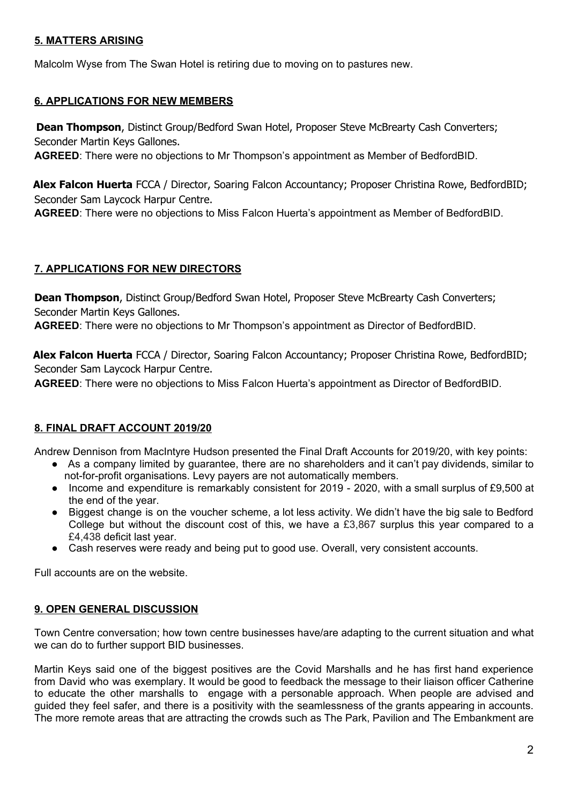### **5. MATTERS ARISING**

Malcolm Wyse from The Swan Hotel is retiring due to moving on to pastures new.

# **6. APPLICATIONS FOR NEW MEMBERS**

**Dean Thompson**, Distinct Group/Bedford Swan Hotel, Proposer Steve McBrearty Cash Converters; Seconder Martin Keys Gallones.

**AGREED**: There were no objections to Mr Thompson's appointment as Member of BedfordBID.

**Alex Falcon Huerta** FCCA / Director, Soaring Falcon Accountancy; Proposer Christina Rowe, BedfordBID; Seconder Sam Laycock Harpur Centre.

**AGREED**: There were no objections to Miss Falcon Huerta's appointment as Member of BedfordBID.

# **7. APPLICATIONS FOR NEW DIRECTORS**

**Dean Thompson**, Distinct Group/Bedford Swan Hotel, Proposer Steve McBrearty Cash Converters; Seconder Martin Keys Gallones.

**AGREED**: There were no objections to Mr Thompson's appointment as Director of BedfordBID.

**Alex Falcon Huerta** FCCA / Director, Soaring Falcon Accountancy; Proposer Christina Rowe, BedfordBID; Seconder Sam Laycock Harpur Centre.

**AGREED**: There were no objections to Miss Falcon Huerta's appointment as Director of BedfordBID.

# **8. FINAL DRAFT ACCOUNT 2019/20**

Andrew Dennison from MacIntyre Hudson presented the Final Draft Accounts for 2019/20, with key points:

- As a company limited by guarantee, there are no shareholders and it can't pay dividends, similar to not-for-profit organisations. Levy payers are not automatically members.
- Income and expenditure is remarkably consistent for 2019 2020, with a small surplus of £9,500 at the end of the year.
- Biggest change is on the voucher scheme, a lot less activity. We didn't have the big sale to Bedford College but without the discount cost of this, we have a £3,867 surplus this year compared to a £4,438 deficit last year.
- Cash reserves were ready and being put to good use. Overall, very consistent accounts.

Full accounts are on the website.

# **9. OPEN GENERAL DISCUSSION**

Town Centre conversation; how town centre businesses have/are adapting to the current situation and what we can do to further support BID businesses.

Martin Keys said one of the biggest positives are the Covid Marshalls and he has first hand experience from David who was exemplary. It would be good to feedback the message to their liaison officer Catherine to educate the other marshalls to engage with a personable approach. When people are advised and guided they feel safer, and there is a positivity with the seamlessness of the grants appearing in accounts. The more remote areas that are attracting the crowds such as The Park, Pavilion and The Embankment are